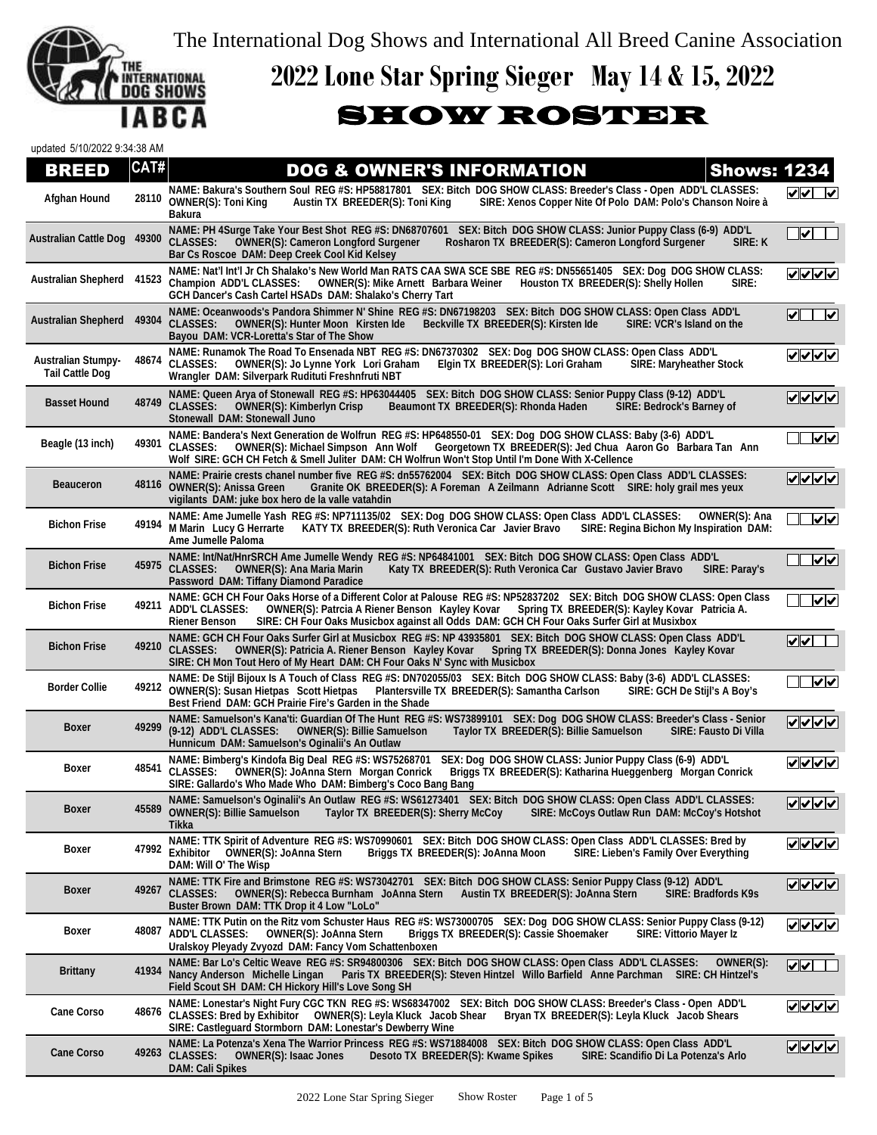The International Dog Shows and International All Breed Canine Association



## **2022 Lone Star Spring Sieger May 14 & 15, 2022**

## SHOW ROSTER

updated 5/10/2022 9:34:38 AM

## **DOG & OWNER'S INFORMATION Shows: 1234**

|                                                     |       | <u>JUNER JINI JIWA HJI</u><br>U I U V J J I                                                                                                                                                                                                                                                                                                                           | $\sim$                                |
|-----------------------------------------------------|-------|-----------------------------------------------------------------------------------------------------------------------------------------------------------------------------------------------------------------------------------------------------------------------------------------------------------------------------------------------------------------------|---------------------------------------|
| Afghan Hound                                        | 28110 | NAME: Bakura's Southern Soul REG #S: HP58817801 SEX: Bitch DOG SHOW CLASS: Breeder's Class - Open ADD'L CLASSES:<br><b>OWNER(S): Toni King</b><br>Austin TX BREEDER(S): Toni King<br>SIRE: Xenos Copper Nite Of Polo DAM: Polo's Chanson Noire à<br><b>Bakura</b>                                                                                                     | $\sqrt{\sqrt{}}$                      |
| Australian Cattle Dog 49300                         |       | NAME: PH 4Surge Take Your Best Shot REG #S: DN68707601 SEX: Bitch DOG SHOW CLASS: Junior Puppy Class (6-9) ADD'L<br>SIRE: K<br><b>CLASSES:</b><br><b>OWNER(S): Cameron Longford Surgener</b><br>Rosharon TX BREEDER(S): Cameron Longford Surgener<br>Bar Cs Roscoe DAM: Deep Creek Cool Kid Kelsey                                                                    | ✔                                     |
| Australian Shepherd                                 | 41523 | NAME: Nat'l Int'l Jr Ch Shalako's New World Man RATS CAA SWA SCE SBE REG #S: DN55651405 SEX: Dog DOG SHOW CLASS:<br>Champion ADD'L CLASSES: OWNER(S): Mike Arnett Barbara Weiner<br>Houston TX BREEDER(S): Shelly Hollen<br>SIRE:<br>GCH Dancer's Cash Cartel HSADs DAM: Shalako's Cherry Tart                                                                        | マンノン                                  |
| <b>Australian Shepherd</b>                          | 49304 | NAME: Oceanwoods's Pandora Shimmer N' Shine REG #S: DN67198203 SEX: Bitch DOG SHOW CLASS: Open Class ADD'L<br><b>CLASSES:</b><br><b>OWNER(S): Hunter Moon Kirsten Ide</b><br>Beckville TX BREEDER(S): Kirsten Ide<br>SIRE: VCR's Island on the<br>Bayou DAM: VCR-Loretta's Star of The Show                                                                           | $\overline{\mathbf{v}}$<br>∣✔∥        |
| <b>Australian Stumpy-</b><br><b>Tail Cattle Dog</b> |       | NAME: Runamok The Road To Ensenada NBT REG #S: DN67370302 SEX: Dog DOG SHOW CLASS: Open Class ADD'L<br>48674 CLASSES:<br><b>OWNER(S): Jo Lynne York Lori Graham</b><br>Elgin TX BREEDER(S): Lori Graham<br><b>SIRE: Maryheather Stock</b><br>Wrangler DAM: Silverpark Rudituti Freshnfruti NBT                                                                        | ママママ                                  |
| <b>Basset Hound</b>                                 | 48749 | NAME: Queen Arya of Stonewall REG #S: HP63044405 SEX: Bitch DOG SHOW CLASS: Senior Puppy Class (9-12) ADD'L<br><b>CLASSES:</b><br><b>OWNER(S): Kimberlyn Crisp</b><br>Beaumont TX BREEDER(S): Rhonda Haden<br>SIRE: Bedrock's Barney of<br>Stonewall DAM: Stonewall Juno                                                                                              |                                       |
| Beagle (13 inch)                                    | 49301 | NAME: Bandera's Next Generation de Wolfrun REG #S: HP648550-01 SEX: Dog DOG SHOW CLASS: Baby (3-6) ADD'L<br>OWNER(S): Michael Simpson Ann Wolf Georgetown TX BREEDER(S): Jed Chua Aaron Go Barbara Tan Ann<br><b>CLASSES:</b><br>Wolf SIRE: GCH CH Fetch & Smell Juliter DAM: CH Wolfrun Won't Stop Until I'm Done With X-Cellence                                    | $ {\bf v} $ v                         |
| <b>Beauceron</b>                                    | 48116 | NAME: Prairie crests chanel number five REG #S: dn55762004 SEX: Bitch DOG SHOW CLASS: Open Class ADD'L CLASSES:<br><b>OWNER(S): Anissa Green</b><br>Granite OK BREEDER(S): A Foreman A Zeilmann Adrianne Scott SIRE: holy grail mes yeux<br>vigilants DAM: juke box hero de la valle vatahdin                                                                         | $ v $ $ v $                           |
| <b>Bichon Frise</b>                                 | 49194 | NAME: Ame Jumelle Yash REG #S: NP711135/02 SEX: Dog DOG SHOW CLASS: Open Class ADD'L CLASSES:<br>OWNER(S): Ana<br>M Marin Lucy G Herrarte<br>KATY TX BREEDER(S): Ruth Veronica Car Javier Bravo<br>SIRE: Regina Bichon My Inspiration DAM:<br>Ame Jumelle Paloma                                                                                                      | $ {\bf v} $ v                         |
| <b>Bichon Frise</b>                                 | 45975 | NAME: Int/Nat/HnrSRCH Ame Jumelle Wendy REG #S: NP64841001 SEX: Bitch DOG SHOW CLASS: Open Class ADD'L<br><b>CLASSES:</b><br><b>OWNER(S): Ana Maria Marin</b><br>Katy TX BREEDER(S): Ruth Veronica Car Gustavo Javier Bravo<br>SIRE: Paray's<br>Password DAM: Tiffany Diamond Paradice                                                                                | $\overline{\mathsf{v}}$               |
| <b>Bichon Frise</b>                                 | 49211 | NAME: GCH CH Four Oaks Horse of a Different Color at Palouse REG #S: NP52837202 SEX: Bitch DOG SHOW CLASS: Open Class<br><b>ADD'L CLASSES:</b><br>OWNER(S): Patrcia A Riener Benson Kayley Kovar Spring TX BREEDER(S): Kayley Kovar Patricia A.<br>SIRE: CH Four Oaks Musicbox against all Odds DAM: GCH CH Four Oaks Surfer Girl at Musixbox<br><b>Riener Benson</b> | $  \boldsymbol{\checkmark}  $         |
| <b>Bichon Frise</b>                                 | 49210 | NAME: GCH CH Four Oaks Surfer Girl at Musicbox REG #S: NP 43935801 SEX: Bitch DOG SHOW CLASS: Open Class ADD'L<br><b>CLASSES:</b><br>Spring TX BREEDER(S): Donna Jones Kayley Kovar<br>OWNER(S): Patricia A. Riener Benson Kayley Kovar<br>SIRE: CH Mon Tout Hero of My Heart DAM: CH Four Oaks N' Sync with Musicbox                                                 | ──<br>$  \bm{\nabla}   \bm{\nabla}  $ |
| <b>Border Collie</b>                                |       | NAME: De Stijl Bijoux Is A Touch of Class REG #S: DN702055/03 SEX: Bitch DOG SHOW CLASS: Baby (3-6) ADD'L CLASSES:<br>49212 OWNER(S): Susan Hietpas Scott Hietpas<br>Plantersville TX BREEDER(S): Samantha Carlson<br>SIRE: GCH De Stijl's A Boy's<br>Best Friend DAM: GCH Prairie Fire's Garden in the Shade                                                         | $\overline{\mathsf{v}}$               |
| <b>Boxer</b>                                        | 49299 | NAME: Samuelson's Kana'ti: Guardian Of The Hunt REG #S: WS73899101 SEX: Dog DOG SHOW CLASS: Breeder's Class - Senior<br>Taylor TX BREEDER(S): Billie Samuelson<br>(9-12) ADD'L CLASSES:<br><b>OWNER(S): Billie Samuelson</b><br><b>SIRE: Fausto Di Villa</b><br>Hunnicum DAM: Samuelson's Oginalii's An Outlaw                                                        | ママママ                                  |
| Boxer                                               | 48541 | SEX: Dog DOG SHOW CLASS: Junior Puppy Class (6-9) ADD'L<br>NAME: Bimberg's Kindofa Big Deal REG #S: WS75268701<br>Briggs TX BREEDER(S): Katharina Hueggenberg Morgan Conrick<br><b>CLASSES:</b><br><b>OWNER(S): JoAnna Stern Morgan Conrick</b><br>SIRE: Gallardo's Who Made Who DAM: Bimberg's Coco Bang Bang                                                        | $\sqrt{1-\epsilon}$                   |
| <b>Boxer</b>                                        | 45589 | NAME: Samuelson's Oginalii's An Outlaw REG #S: WS61273401 SEX: Bitch DOG SHOW CLASS: Open Class ADD'L CLASSES:<br>OWNER(S): Billie Samuelson Taylor TX BREEDER(S): Sherry McCoy<br>SIRE: McCoys Outlaw Run DAM: McCoy's Hotshot<br>Tikka                                                                                                                              | ママママ                                  |
| Boxer                                               | 47992 | NAME: TTK Spirit of Adventure REG #S: WS70990601 SEX: Bitch DOG SHOW CLASS: Open Class ADD'L CLASSES: Bred by<br>Exhibitor<br><b>OWNER(S): JoAnna Stern</b><br>Briggs TX BREEDER(S): JoAnna Moon<br>SIRE: Lieben's Family Over Everything<br>DAM: Will O' The Wisp                                                                                                    | $\sqrt{\sqrt{\sqrt{\}}}}$             |
| Boxer                                               | 49267 | NAME: TTK Fire and Brimstone REG #S: WS73042701 SEX: Bitch DOG SHOW CLASS: Senior Puppy Class (9-12) ADD'L<br><b>CLASSES:</b><br>OWNER(S): Rebecca Burnham JoAnna Stern<br>Austin TX BREEDER(S): JoAnna Stern<br><b>SIRE: Bradfords K9s</b><br>Buster Brown DAM: TTK Drop it 4 Low "LoLo"                                                                             | <u>V∨∨∨</u>                           |
| Boxer                                               | 48087 | NAME: TTK Putin on the Ritz vom Schuster Haus REG #S: WS73000705 SEX: Dog DOG SHOW CLASS: Senior Puppy Class (9-12)<br><b>ADD'L CLASSES:</b><br><b>OWNER(S): JoAnna Stern</b><br>Briggs TX BREEDER(S): Cassie Shoemaker<br><b>SIRE: Vittorio Mayer Iz</b><br>Uralskoy Pleyady Zvyozd DAM: Fancy Vom Schattenboxen                                                     | ママママ                                  |
| <b>Brittany</b>                                     | 41934 | NAME: Bar Lo's Celtic Weave REG #S: SR94800306 SEX: Bitch DOG SHOW CLASS: Open Class ADD'L CLASSES:<br>OWNER(S):<br>Nancy Anderson Michelle Lingan<br>Paris TX BREEDER(S): Steven Hintzel Willo Barfield Anne Parchman SIRE: CH Hintzel's<br>Field Scout SH DAM: CH Hickory Hill's Love Song SH                                                                       | ⋁✔                                    |
| <b>Cane Corso</b>                                   | 48676 | NAME: Lonestar's Night Fury CGC TKN REG #S: WS68347002 SEX: Bitch DOG SHOW CLASS: Breeder's Class - Open ADD'L<br>CLASSES: Bred by Exhibitor  OWNER(S): Leyla Kluck  Jacob Shear<br>Bryan TX BREEDER(S): Leyla Kluck Jacob Shears<br>SIRE: Castleguard Stormborn DAM: Lonestar's Dewberry Wine                                                                        | $ V $ $ V $                           |
| <b>Cane Corso</b>                                   | 49263 | NAME: La Potenza's Xena The Warrior Princess REG #S: WS71884008 SEX: Bitch DOG SHOW CLASS: Open Class ADD'L<br><b>CLASSES:</b><br>Desoto TX BREEDER(S): Kwame Spikes<br>SIRE: Scandifio Di La Potenza's Arlo<br><b>OWNER(S): Isaac Jones</b><br><b>DAM: Cali Spikes</b>                                                                                               | ママイム                                  |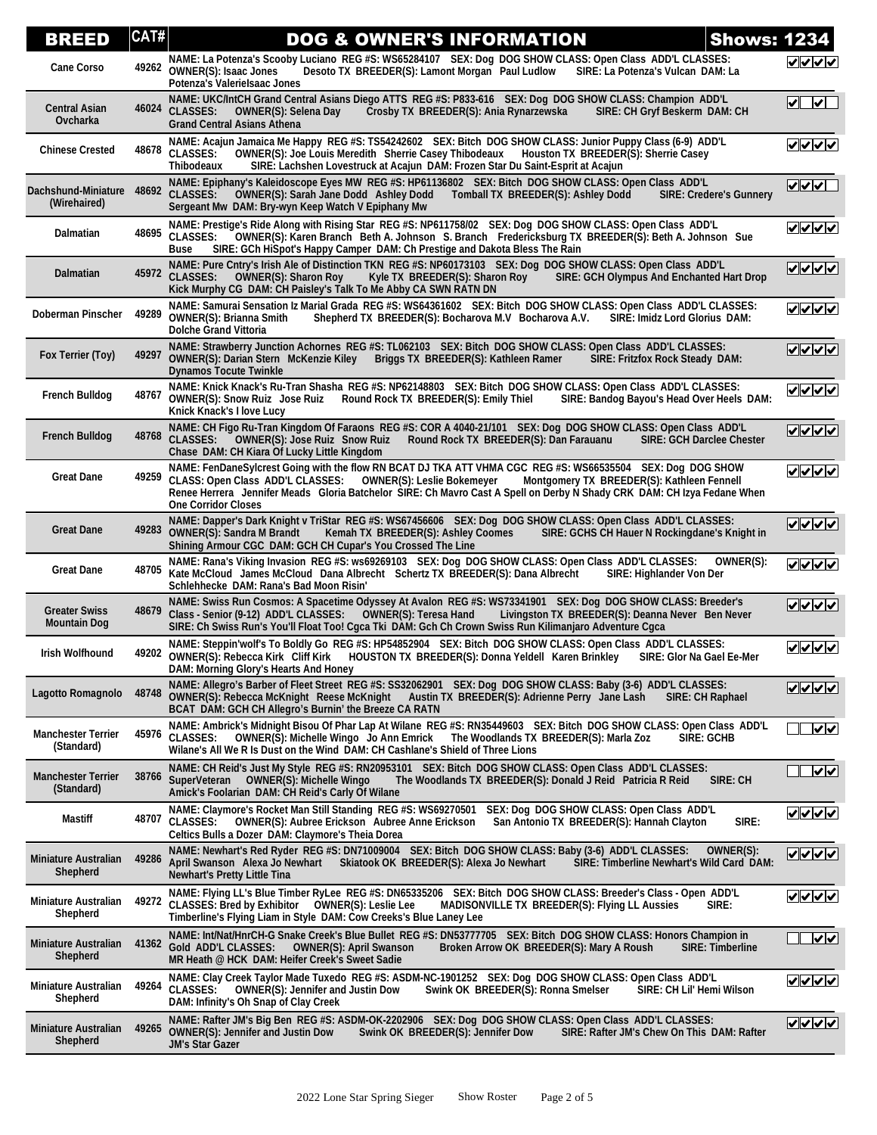| BREED                                       | CAT#  | <b>Shows: 1234</b><br><b>DOG &amp; OWNER'S INFORMATION</b>                                                                                                                                                                                                                                                                                                                                 |                                       |
|---------------------------------------------|-------|--------------------------------------------------------------------------------------------------------------------------------------------------------------------------------------------------------------------------------------------------------------------------------------------------------------------------------------------------------------------------------------------|---------------------------------------|
| <b>Cane Corso</b>                           |       | NAME: La Potenza's Scooby Luciano REG #S: WS65284107 SEX: Dog DOG SHOW CLASS: Open Class ADD'L CLASSES:<br>49262 OWNER(S): Isaac Jones<br>SIRE: La Potenza's Vulcan DAM: La<br>Desoto TX BREEDER(S): Lamont Morgan Paul Ludlow<br>Potenza's Valerielsaac Jones                                                                                                                             | マンノン                                  |
| <b>Central Asian</b><br>Ovcharka            | 46024 | NAME: UKC/IntCH Grand Central Asians Diego ATTS REG #S: P833-616 SEX: Dog DOG SHOW CLASS: Champion ADD'L<br><b>CLASSES:</b><br>Crosby TX BREEDER(S): Ania Rynarzewska<br>SIRE: CH Gryf Beskerm DAM: CH<br><b>OWNER(S): Selena Day</b><br><b>Grand Central Asians Athena</b>                                                                                                                | $\overline{\blacktriangleleft}$<br> ✔ |
| <b>Chinese Crested</b>                      |       | NAME: Acajun Jamaica Me Happy REG #S: TS54242602 SEX: Bitch DOG SHOW CLASS: Junior Puppy Class (6-9) ADD'L<br>48678 CLASSES:<br>OWNER(S): Joe Louis Meredith Sherrie Casey Thibodeaux Houston TX BREEDER(S): Sherrie Casey<br><b>Thibodeaux</b><br>SIRE: Lachshen Lovestruck at Acajun DAM: Frozen Star Du Saint-Esprit at Acajun                                                          | ママママ                                  |
| Dachshund-Miniature<br>(Wirehaired)         | 48692 | NAME: Epiphany's Kaleidoscope Eyes MW REG #S: HP61136802 SEX: Bitch DOG SHOW CLASS: Open Class ADD'L<br><b>CLASSES:</b><br><b>OWNER(S): Sarah Jane Dodd Ashley Dodd</b><br>Tomball TX BREEDER(S): Ashley Dodd<br><b>SIRE: Credere's Gunnery</b><br>Sergeant Mw DAM: Bry-wyn Keep Watch V Epiphany Mw                                                                                       | $  \sqrt{ \sqrt{ \mathcal{N} }}$      |
| Dalmatian                                   |       | NAME: Prestige's Ride Along with Rising Star REG #S: NP611758/02 SEX: Dog DOG SHOW CLASS: Open Class ADD'L<br>48695 CLASSES:<br>OWNER(S): Karen Branch Beth A. Johnson S. Branch Fredericksburg TX BREEDER(S): Beth A. Johnson Sue<br>SIRE: GCh HiSpot's Happy Camper DAM: Ch Prestige and Dakota Bless The Rain<br><b>Buse</b>                                                            | $ V $ $ V $                           |
| <b>Dalmatian</b>                            | 45972 | NAME: Pure Cntry's Irish Ale of Distinction TKN REG #S: NP60173103 SEX: Dog DOG SHOW CLASS: Open Class ADD'L<br>SIRE: GCH Olympus And Enchanted Hart Drop<br><b>CLASSES:</b><br><b>OWNER(S): Sharon Roy</b><br>Kyle TX BREEDER(S): Sharon Roy<br>Kick Murphy CG DAM: CH Paisley's Talk To Me Abby CA SWN RATN DN                                                                           | マンノン                                  |
| Doberman Pinscher                           | 49289 | NAME: Samurai Sensation Iz Marial Grada REG #S: WS64361602 SEX: Bitch DOG SHOW CLASS: Open Class ADD'L CLASSES:<br><b>OWNER(S): Brianna Smith</b><br>Shepherd TX BREEDER(S): Bocharova M.V Bocharova A.V.<br>SIRE: Imidz Lord Glorius DAM:<br><b>Dolche Grand Vittoria</b>                                                                                                                 | ママママ                                  |
| Fox Terrier (Toy)                           | 49297 | NAME: Strawberry Junction Achornes REG #S: TL062103 SEX: Bitch DOG SHOW CLASS: Open Class ADD'L CLASSES:<br><b>OWNER(S): Darian Stern McKenzie Kiley</b><br>Briggs TX BREEDER(S): Kathleen Ramer<br>SIRE: Fritzfox Rock Steady DAM:<br><b>Dynamos Tocute Twinkle</b>                                                                                                                       | ママママ                                  |
| <b>French Bulldog</b>                       | 48767 | NAME: Knick Knack's Ru-Tran Shasha REG #S: NP62148803 SEX: Bitch DOG SHOW CLASS: Open Class ADD'L CLASSES:<br><b>OWNER(S): Snow Ruiz Jose Ruiz Round Rock TX BREEDER(S): Emily Thiel</b><br>SIRE: Bandog Bayou's Head Over Heels DAM:<br>Knick Knack's I love Lucy                                                                                                                         | $ v $ $ v $                           |
| <b>French Bulldog</b>                       | 48768 | NAME: CH Figo Ru-Tran Kingdom Of Faraons REG #S: COR A 4040-21/101 SEX: Dog DOG SHOW CLASS: Open Class ADD'L<br><b>CLASSES:</b><br><b>OWNER(S): Jose Ruiz Snow Ruiz</b><br>Round Rock TX BREEDER(S): Dan Farauanu<br><b>SIRE: GCH Darclee Chester</b><br>Chase DAM: CH Kiara Of Lucky Little Kingdom                                                                                       | $ V $ $ V $                           |
| <b>Great Dane</b>                           | 49259 | NAME: FenDaneSylcrest Going with the flow RN BCAT DJ TKA ATT VHMA CGC REG #S: WS66535504 SEX: Dog DOG SHOW<br>CLASS: Open Class ADD'L CLASSES:<br><b>OWNER(S): Leslie Bokemeyer</b><br>Montgomery TX BREEDER(S): Kathleen Fennell<br>Renee Herrera Jennifer Meads Gloria Batchelor SIRE: Ch Mavro Cast A Spell on Derby N Shady CRK DAM: CH Izya Fedane When<br><b>One Corridor Closes</b> | ⊽⊽⊽⊽                                  |
| <b>Great Dane</b>                           | 49283 | NAME: Dapper's Dark Knight v TriStar REG #S: WS67456606 SEX: Dog DOG SHOW CLASS: Open Class ADD'L CLASSES:<br><b>OWNER(S): Sandra M Brandt</b><br>SIRE: GCHS CH Hauer N Rockingdane's Knight in<br>Kemah TX BREEDER(S): Ashley Coomes<br>Shining Armour CGC DAM: GCH CH Cupar's You Crossed The Line                                                                                       | $ V $ $ V $                           |
| <b>Great Dane</b>                           | 48705 | NAME: Rana's Viking Invasion REG #S: ws69269103 SEX: Dog DOG SHOW CLASS: Open Class ADD'L CLASSES:<br>OWNER(S):<br>Kate McCloud James McCloud Dana Albrecht Schertz TX BREEDER(S): Dana Albrecht<br>SIRE: Highlander Von Der<br>Schlehhecke DAM: Rana's Bad Moon Risin'                                                                                                                    | ママママ                                  |
| <b>Greater Swiss</b><br><b>Mountain Dog</b> | 48679 | NAME: Swiss Run Cosmos: A Spacetime Odyssey At Avalon REG #S: WS73341901 SEX: Dog DOG SHOW CLASS: Breeder's<br>Class - Senior (9-12) ADD'L CLASSES:<br><b>OWNER(S): Teresa Hand</b><br>Livingston TX BREEDER(S): Deanna Never Ben Never<br>SIRE: Ch Swiss Run's You'll Float Too! Cgca Tki DAM: Gch Ch Crown Swiss Run Kilimanjaro Adventure Cgca                                          | ママママ                                  |
| Irish Wolfhound                             | 49202 | NAME: Steppin'wolf's To Boldly Go REG #S: HP54852904 SEX: Bitch DOG SHOW CLASS: Open Class ADD'L CLASSES:<br>OWNER(S): Rebecca Kirk Cliff Kirk<br>HOUSTON TX BREEDER(S): Donna Yeldell Karen Brinkley SIRE: Glor Na Gael Ee-Mer<br>DAM: Morning Glory's Hearts And Honey                                                                                                                   | ママママ                                  |
| Lagotto Romagnolo                           | 48748 | NAME: Allegro's Barber of Fleet Street REG #S: SS32062901 SEX: Dog DOG SHOW CLASS: Baby (3-6) ADD'L CLASSES:<br>OWNER(S): Rebecca McKnight Reese McKnight Austin TX BREEDER(S): Adrienne Perry Jane Lash<br>SIRE: CH Raphael<br>BCAT DAM: GCH CH Allegro's Burnin' the Breeze CA RATN                                                                                                      | ママママ                                  |
| <b>Manchester Terrier</b><br>(Standard)     | 45976 | NAME: Ambrick's Midnight Bisou Of Phar Lap At Wilane REG #S: RN35449603 SEX: Bitch DOG SHOW CLASS: Open Class ADD'L<br><b>CLASSES:</b><br><b>OWNER(S): Michelle Wingo Jo Ann Emrick</b><br>The Woodlands TX BREEDER(S): Marla Zoz<br><b>SIRE: GCHB</b><br>Wilane's All We R Is Dust on the Wind DAM: CH Cashlane's Shield of Three Lions                                                   | $\overline{\mathsf{v}}$               |
| <b>Manchester Terrier</b><br>(Standard)     | 38766 | NAME: CH Reid's Just My Style REG #S: RN20953101 SEX: Bitch DOG SHOW CLASS: Open Class ADD'L CLASSES:<br>SuperVeteran<br><b>OWNER(S): Michelle Wingo</b><br>The Woodlands TX BREEDER(S): Donald J Reid Patricia R Reid<br>SIRE: CH<br>Amick's Foolarian DAM: CH Reid's Carly Of Wilane                                                                                                     | ⊽⊻                                    |
| Mastiff                                     | 48707 | NAME: Claymore's Rocket Man Still Standing REG #S: WS69270501<br>SEX: Dog DOG SHOW CLASS: Open Class ADD'L<br>SIRE:<br><b>CLASSES:</b><br><b>OWNER(S): Aubree Erickson Aubree Anne Erickson</b><br>San Antonio TX BREEDER(S): Hannah Clayton<br>Celtics Bulls a Dozer DAM: Claymore's Theia Dorea                                                                                          | $ V $ $ V $                           |
| <b>Miniature Australian</b><br>Shepherd     | 49286 | NAME: Newhart's Red Ryder REG #S: DN71009004 SEX: Bitch DOG SHOW CLASS: Baby (3-6) ADD'L CLASSES:<br>OWNER(S):<br>April Swanson Alexa Jo Newhart<br>Skiatook OK BREEDER(S): Alexa Jo Newhart<br>SIRE: Timberline Newhart's Wild Card DAM:<br><b>Newhart's Pretty Little Tina</b>                                                                                                           | $ V $ $ V $ $ V $                     |
| <b>Miniature Australian</b><br>Shepherd     | 49272 | NAME: Flying LL's Blue Timber RyLee REG #S: DN65335206 SEX: Bitch DOG SHOW CLASS: Breeder's Class - Open ADD'L<br>CLASSES: Bred by Exhibitor  OWNER(S): Leslie Lee<br>MADISONVILLE TX BREEDER(S): Flying LL Aussies<br>SIRE:<br>Timberline's Flying Liam in Style DAM: Cow Creeks's Blue Laney Lee                                                                                         | ✓  ✓  ✓  ✓                            |
| <b>Miniature Australian</b><br>Shepherd     | 41362 | NAME: Int/Nat/HnrCH-G Snake Creek's Blue Bullet REG #S: DN53777705 SEX: Bitch DOG SHOW CLASS: Honors Champion in<br>Gold ADD'L CLASSES:<br><b>OWNER(S): April Swanson</b><br>Broken Arrow OK BREEDER(S): Mary A Roush<br><b>SIRE: Timberline</b><br>MR Heath @ HCK DAM: Heifer Creek's Sweet Sadie                                                                                         | $\overline{\mathsf{v}}$               |
| <b>Miniature Australian</b><br>Shepherd     | 49264 | NAME: Clay Creek Taylor Made Tuxedo REG #S: ASDM-NC-1901252 SEX: Dog DOG SHOW CLASS: Open Class ADD'L<br><b>CLASSES:</b><br>Swink OK BREEDER(S): Ronna Smelser<br>SIRE: CH Lil' Hemi Wilson<br><b>OWNER(S): Jennifer and Justin Dow</b><br>DAM: Infinity's Oh Snap of Clay Creek                                                                                                           | V V V                                 |
| <b>Miniature Australian</b><br>Shepherd     | 49265 | NAME: Rafter JM's Big Ben REG #S: ASDM-OK-2202906 SEX: Dog DOG SHOW CLASS: Open Class ADD'L CLASSES:<br><b>OWNER(S): Jennifer and Justin Dow</b><br>Swink OK BREEDER(S): Jennifer Dow<br>SIRE: Rafter JM's Chew On This DAM: Rafter<br><b>JM's Star Gazer</b>                                                                                                                              | $ V $ $ V $ $ V $                     |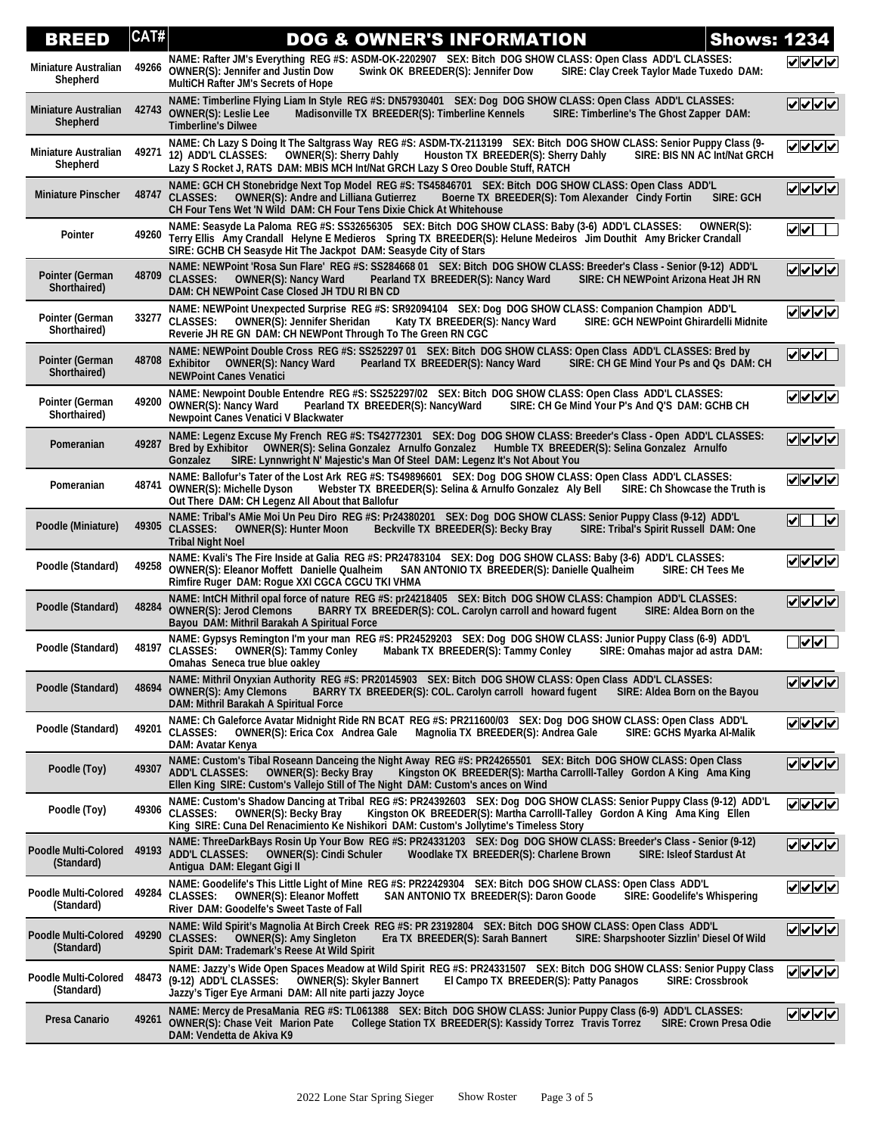| <b>BREED</b>                              | CAT#  | <b>DOG &amp; OWNER'S INFORMATION</b><br><b>Shows: 1234</b>                                                                                                                                                                                                                                                                                    |                                                  |
|-------------------------------------------|-------|-----------------------------------------------------------------------------------------------------------------------------------------------------------------------------------------------------------------------------------------------------------------------------------------------------------------------------------------------|--------------------------------------------------|
| <b>Miniature Australian</b><br>Shepherd   | 49266 | NAME: Rafter JM's Everything REG #S: ASDM-OK-2202907 SEX: Bitch DOG SHOW CLASS: Open Class ADD'L CLASSES:<br><b>OWNER(S): Jennifer and Justin Dow</b><br>Swink OK BREEDER(S): Jennifer Dow<br>SIRE: Clay Creek Taylor Made Tuxedo DAM:<br><b>MultiCH Rafter JM's Secrets of Hope</b>                                                          | マンノン                                             |
| <b>Miniature Australian</b><br>Shepherd   | 42743 | NAME: Timberline Flying Liam In Style REG #S: DN57930401 SEX: Dog DOG SHOW CLASS: Open Class ADD'L CLASSES:<br>Madisonville TX BREEDER(S): Timberline Kennels<br><b>OWNER(S): Leslie Lee</b><br>SIRE: Timberline's The Ghost Zapper DAM:<br><b>Timberline's Dilwee</b>                                                                        |                                                  |
| <b>Miniature Australian</b><br>Shepherd   | 49271 | NAME: Ch Lazy S Doing It The Saltgrass Way REG #S: ASDM-TX-2113199 SEX: Bitch DOG SHOW CLASS: Senior Puppy Class (9-<br>12) ADD'L CLASSES:<br><b>OWNER(S): Sherry Dahly</b><br>Houston TX BREEDER(S): Sherry Dahly<br>SIRE: BIS NN AC Int/Nat GRCH<br>Lazy S Rocket J, RATS DAM: MBIS MCH Int/Nat GRCH Lazy S Oreo Double Stuff, RATCH        | ママママ                                             |
| <b>Miniature Pinscher</b>                 | 48747 | NAME: GCH CH Stonebridge Next Top Model REG #S: TS45846701 SEX: Bitch DOG SHOW CLASS: Open Class ADD'L<br><b>CLASSES:</b><br><b>SIRE: GCH</b><br><b>OWNER(S): Andre and Lilliana Gutierrez</b><br>Boerne TX BREEDER(S): Tom Alexander Cindy Fortin<br>CH Four Tens Wet 'N Wild DAM: CH Four Tens Dixie Chick At Whitehouse                    | ママママ                                             |
| Pointer                                   |       | NAME: Seasyde La Paloma REG #S: SS32656305 SEX: Bitch DOG SHOW CLASS: Baby (3-6) ADD'L CLASSES:<br>OWNER(S):<br>49260 Terry Ellis Amy Crandall Helyne E Medieros Spring TX BREEDER(S): Helune Medeiros Jim Douthit Amy Bricker Crandall<br>SIRE: GCHB CH Seasyde Hit The Jackpot DAM: Seasyde City of Stars                                   | $\boldsymbol{\mathsf{v}}$<br>$\mathbb{R}^n$      |
| <b>Pointer (German</b><br>Shorthaired)    | 48709 | NAME: NEWPoint 'Rosa Sun Flare' REG #S: SS284668 01 SEX: Bitch DOG SHOW CLASS: Breeder's Class - Senior (9-12) ADD'L<br><b>CLASSES:</b><br>Pearland TX BREEDER(S): Nancy Ward<br>SIRE: CH NEWPoint Arizona Heat JH RN<br><b>OWNER(S): Nancy Ward</b><br>DAM: CH NEWPoint Case Closed JH TDU RI BN CD                                          | ママママ                                             |
| <b>Pointer (German</b><br>Shorthaired)    | 33277 | NAME: NEWPoint Unexpected Surprise REG #S: SR92094104 SEX: Dog DOG SHOW CLASS: Companion Champion ADD'L<br><b>CLASSES:</b><br><b>OWNER(S): Jennifer Sheridan</b><br><b>SIRE: GCH NEWPoint Ghirardelli Midnite</b><br>Katy TX BREEDER(S): Nancy Ward<br>Reverie JH RE GN DAM: CH NEWPont Through To The Green RN CGC                           | ママママ                                             |
| <b>Pointer (German</b><br>Shorthaired)    | 48708 | NAME: NEWPoint Double Cross REG #S: SS252297 01 SEX: Bitch DOG SHOW CLASS: Open Class ADD'L CLASSES: Bred by<br>SIRE: CH GE Mind Your Ps and Qs DAM: CH<br>Exhibitor OWNER(S): Nancy Ward<br>Pearland TX BREEDER(S): Nancy Ward<br><b>NEWPoint Canes Venatici</b>                                                                             | ⊽⊽⊽⊑                                             |
| <b>Pointer (German</b><br>Shorthaired)    | 49200 | NAME: Newpoint Double Entendre REG #S: SS252297/02 SEX: Bitch DOG SHOW CLASS: Open Class ADD'L CLASSES:<br>Pearland TX BREEDER(S): NancyWard<br><b>OWNER(S): Nancy Ward</b><br>SIRE: CH Ge Mind Your P's And Q'S DAM: GCHB CH<br>Newpoint Canes Venatici V Blackwater                                                                         | $ V $ $ V $                                      |
| Pomeranian                                | 49287 | NAME: Legenz Excuse My French REG #S: TS42772301 SEX: Dog DOG SHOW CLASS: Breeder's Class - Open ADD'L CLASSES:<br>Bred by Exhibitor  OWNER(S): Selina Gonzalez  Arnulfo Gonzalez  Humble TX BREEDER(S): Selina Gonzalez  Arnulfo<br>SIRE: Lynnwright N' Majestic's Man Of Steel DAM: Legenz It's Not About You<br>Gonzalez                   | ママママ                                             |
| Pomeranian                                | 48741 | NAME: Ballofur's Tater of the Lost Ark REG #S: TS49896601 SEX: Dog DOG SHOW CLASS: Open Class ADD'L CLASSES:<br><b>OWNER(S): Michelle Dyson</b><br>Webster TX BREEDER(S): Selina & Arnulfo Gonzalez Aly Bell<br>SIRE: Ch Showcase the Truth is<br>Out There DAM: CH Legenz All About that Ballofur                                            | ママママ                                             |
| Poodle (Miniature)                        | 49305 | NAME: Tribal's AMie Moi Un Peu Diro REG #S: Pr24380201 SEX: Dog DOG SHOW CLASS: Senior Puppy Class (9-12) ADD'L<br><b>CLASSES:</b><br><b>OWNER(S): Hunter Moon</b><br>Beckville TX BREEDER(S): Becky Bray<br>SIRE: Tribal's Spirit Russell DAM: One<br><b>Tribal Night Noel</b>                                                               | $\overline{\mathcal{M}}$<br>$\blacktriangledown$ |
| Poodle (Standard)                         | 49258 | NAME: Kvali's The Fire Inside at Galia REG #S: PR24783104 SEX: Dog DOG SHOW CLASS: Baby (3-6) ADD'L CLASSES:<br>OWNER(S): Eleanor Moffett Danielle Qualheim SAN ANTONIO TX BREEDER(S): Danielle Qualheim<br><b>SIRE: CH Tees Me</b><br>Rimfire Ruger DAM: Rogue XXI CGCA CGCU TKI VHMA                                                        | ⊽⊽⊽⊽                                             |
| Poodle (Standard)                         | 48284 | NAME: IntCH Mithril opal force of nature REG #S: pr24218405 SEX: Bitch DOG SHOW CLASS: Champion ADD'L CLASSES:<br>BARRY TX BREEDER(S): COL. Carolyn carroll and howard fugent<br><b>OWNER(S): Jerod Clemons</b><br>SIRE: Aldea Born on the<br>Bayou DAM: Mithril Barakah A Spiritual Force                                                    | $ v $ v $ v $                                    |
| Poodle (Standard)                         | 48197 | NAME: Gypsys Remington I'm your man REG #S: PR24529203 SEX: Dog DOG SHOW CLASS: Junior Puppy Class (6-9) ADD'L<br><b>CLASSES:</b><br><b>OWNER(S): Tammy Conley</b><br>Mabank TX BREEDER(S): Tammy Conley<br>SIRE: Omahas major ad astra DAM:<br>Omahas Seneca true blue oakley                                                                | $\overline{\mathsf{v}}$                          |
| Poodle (Standard)                         | 48694 | NAME: Mithril Onyxian Authority REG #S: PR20145903 SEX: Bitch DOG SHOW CLASS: Open Class ADD'L CLASSES:<br><b>OWNER(S): Amy Clemons</b><br>BARRY TX BREEDER(S): COL. Carolyn carroll howard fugent<br>SIRE: Aldea Born on the Bayou<br>DAM: Mithril Barakah A Spiritual Force                                                                 | ママイム                                             |
| Poodle (Standard)                         |       | NAME: Ch Galeforce Avatar Midnight Ride RN BCAT REG #S: PR211600/03 SEX: Dog DOG SHOW CLASS: Open Class ADD'L<br>49201 CLASSES:<br>Magnolia TX BREEDER(S): Andrea Gale<br><b>OWNER(S): Erica Cox Andrea Gale</b><br>SIRE: GCHS Myarka Al-Malik<br>DAM: Avatar Kenya                                                                           | $ v $ v $ v $ v $ v $                            |
| Poodle (Toy)                              | 49307 | NAME: Custom's Tibal Roseann Danceing the Night Away REG #S: PR24265501 SEX: Bitch DOG SHOW CLASS: Open Class<br><b>ADD'L CLASSES:</b><br><b>OWNER(S): Becky Bray</b><br>Kingston OK BREEDER(S): Martha Carrolll-Talley Gordon A King Ama King<br>Ellen King SIRE: Custom's Vallejo Still of The Night DAM: Custom's ances on Wind            | <u>VVVV</u>                                      |
| Poodle (Toy)                              |       | NAME: Custom's Shadow Dancing at Tribal REG #S: PR24392603 SEX: Dog DOG SHOW CLASS: Senior Puppy Class (9-12) ADD'L<br>49306 CLASSES:<br>Kingston OK BREEDER(S): Martha Carrolll-Talley Gordon A King Ama King Ellen<br><b>OWNER(S): Becky Bray</b><br>King SIRE: Cuna Del Renacimiento Ke Nishikori DAM: Custom's Jollytime's Timeless Story | ママママ                                             |
| <b>Poodle Multi-Colored</b><br>(Standard) | 49193 | NAME: ThreeDarkBays Rosin Up Your Bow REG #S: PR24331203 SEX: Dog DOG SHOW CLASS: Breeder's Class - Senior (9-12)<br><b>ADD'L CLASSES:</b><br><b>OWNER(S): Cindi Schuler</b><br>Woodlake TX BREEDER(S): Charlene Brown<br><b>SIRE: Isleof Stardust At</b><br>Antigua DAM: Elegant Gigi II                                                     | マンノン                                             |
| Poodle Multi-Colored<br>(Standard)        | 49284 | NAME: Goodelife's This Little Light of Mine REG #S: PR22429304 SEX: Bitch DOG SHOW CLASS: Open Class ADD'L<br><b>CLASSES:</b><br><b>OWNER(S): Eleanor Moffett</b><br><b>SAN ANTONIO TX BREEDER(S): Daron Goode</b><br>SIRE: Goodelife's Whispering<br>River DAM: Goodelfe's Sweet Taste of Fall                                               | $ V $ $ V $ $V$                                  |
| <b>Poodle Multi-Colored</b><br>(Standard) | 49290 | NAME: Wild Spirit's Magnolia At Birch Creek  REG #S: PR 23192804   SEX: Bitch  DOG SHOW CLASS: Open Class  ADD'L<br><b>CLASSES:</b><br>SIRE: Sharpshooter Sizzlin' Diesel Of Wild<br><b>OWNER(S): Amy Singleton</b><br>Era TX BREEDER(S): Sarah Bannert<br>Spirit DAM: Trademark's Reese At Wild Spirit                                       | $ V $ $ V $ $ V $                                |
| Poodle Multi-Colored<br>(Standard)        | 48473 | NAME: Jazzy's Wide Open Spaces Meadow at Wild Spirit REG #S: PR24331507 SEX: Bitch DOG SHOW CLASS: Senior Puppy Class<br>OWNER(S): Skyler Bannert<br>(9-12) ADD'L CLASSES:<br>El Campo TX BREEDER(S): Patty Panagos<br><b>SIRE: Crossbrook</b><br>Jazzy's Tiger Eye Armani  DAM: All nite parti jazzy Joyce                                   | ママママ                                             |
| Presa Canario                             | 49261 | NAME: Mercy de PresaMania  REG #S: TL061388    SEX: Bitch  DOG SHOW CLASS: Junior Puppy Class (6-9)  ADD'L CLASSES:<br><b>OWNER(S): Chase Veit Marion Pate</b><br>College Station TX BREEDER(S): Kassidy Torrez Travis Torrez<br><b>SIRE: Crown Presa Odie</b><br>DAM: Vendetta de Akiva K9                                                   | <u>VVVV</u>                                      |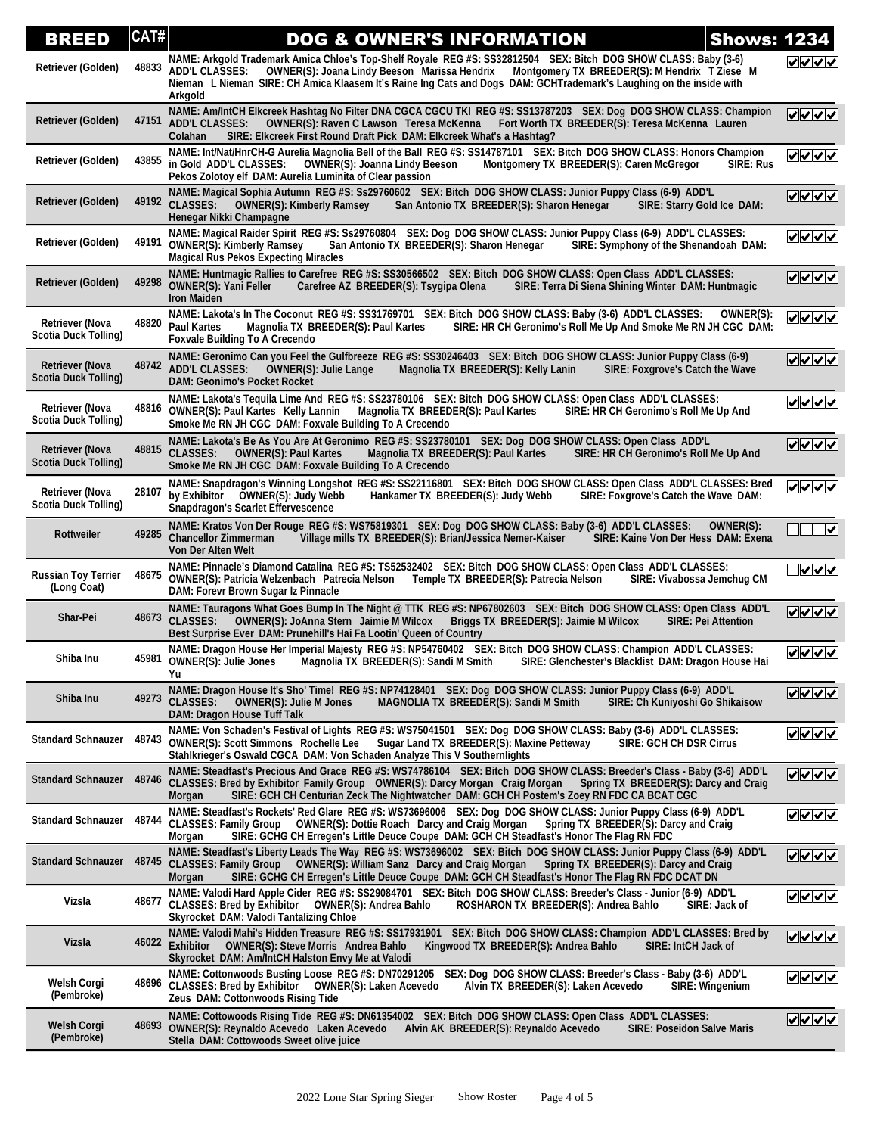| BREED                                                 | CAT#  | <b>Shows: 1234</b><br><b>DOG &amp; OWNER'S INFORMATION</b>                                                                                                                                                                                                                                                                                                               |                                 |
|-------------------------------------------------------|-------|--------------------------------------------------------------------------------------------------------------------------------------------------------------------------------------------------------------------------------------------------------------------------------------------------------------------------------------------------------------------------|---------------------------------|
| Retriever (Golden)                                    | 48833 | NAME: Arkgold Trademark Amica Chloe's Top-Shelf Royale REG #S: SS32812504 SEX: Bitch DOG SHOW CLASS: Baby (3-6)<br>OWNER(S): Joana Lindy Beeson Marissa Hendrix Montgomery TX BREEDER(S): M Hendrix T Ziese M<br><b>ADD'L CLASSES:</b><br>Nieman L Nieman SIRE: CH Amica Klaasem It's Raine Ing Cats and Dogs DAM: GCHTrademark's Laughing on the inside with<br>Arkgold | ママンマ                            |
| Retriever (Golden)                                    | 47151 | NAME: Am/IntCH Elkcreek Hashtag No Filter DNA CGCA CGCU TKI REG #S: SS13787203 SEX: Dog DOG SHOW CLASS: Champion<br><b>ADD'L CLASSES:</b><br>OWNER(S): Raven C Lawson Teresa McKenna<br>Fort Worth TX BREEDER(S): Teresa McKenna Lauren<br>SIRE: Elkcreek First Round Draft Pick DAM: Elkcreek What's a Hashtag?<br>Colahan                                              | ママママ                            |
| Retriever (Golden)                                    | 43855 | NAME: Int/Nat/HnrCH-G Aurelia Magnolia Bell of the Ball REG #S: SS14787101 SEX: Bitch DOG SHOW CLASS: Honors Champion<br>in Gold ADD'L CLASSES:<br><b>OWNER(S): Joanna Lindy Beeson</b><br>Montgomery TX BREEDER(S): Caren McGregor<br><b>SIRE: Rus</b><br>Pekos Zolotoy elf DAM: Aurelia Luminita of Clear passion                                                      | ⊽⊽⊽⊽                            |
| Retriever (Golden)                                    |       | NAME: Magical Sophia Autumn REG #S: Ss29760602 SEX: Bitch DOG SHOW CLASS: Junior Puppy Class (6-9) ADD'L<br>49192 CLASSES:<br><b>OWNER(S): Kimberly Ramsey</b><br>San Antonio TX BREEDER(S): Sharon Henegar<br>SIRE: Starry Gold Ice DAM:<br>Henegar Nikki Champagne                                                                                                     | ママママ                            |
| Retriever (Golden)                                    |       | NAME: Magical Raider Spirit REG #S: Ss29760804 SEX: Dog DOG SHOW CLASS: Junior Puppy Class (6-9) ADD'L CLASSES:<br>49191 OWNER(S): Kimberly Ramsey<br>San Antonio TX BREEDER(S): Sharon Henegar<br>SIRE: Symphony of the Shenandoah DAM:<br><b>Magical Rus Pekos Expecting Miracles</b>                                                                                  | ⊽⊽⊽⊽                            |
| <b>Retriever (Golden)</b>                             | 49298 | NAME: Huntmagic Rallies to Carefree REG #S: SS30566502 SEX: Bitch DOG SHOW CLASS: Open Class ADD'L CLASSES:<br><b>OWNER(S): Yani Feller</b><br>Carefree AZ BREEDER(S): Tsygipa Olena<br>SIRE: Terra Di Siena Shining Winter DAM: Huntmagic<br><b>Iron Maiden</b>                                                                                                         | ✓  ✓  ✓  ✓                      |
| <b>Retriever (Nova</b><br><b>Scotia Duck Tolling)</b> | 48820 | NAME: Lakota's In The Coconut REG #S: SS31769701 SEX: Bitch DOG SHOW CLASS: Baby (3-6) ADD'L CLASSES:<br>OWNER(S):<br><b>Paul Kartes</b><br>SIRE: HR CH Geronimo's Roll Me Up And Smoke Me RN JH CGC DAM:<br>Magnolia TX BREEDER(S): Paul Kartes<br><b>Foxvale Building To A Crecendo</b>                                                                                | ⊽⊽⊽⊽                            |
| <b>Retriever (Nova</b><br><b>Scotia Duck Tolling)</b> |       | NAME: Geronimo Can you Feel the Gulfbreeze REG #S: SS30246403 SEX: Bitch DOG SHOW CLASS: Junior Puppy Class (6-9)<br>48742 ADD'L CLASSES:<br><b>OWNER(S): Julie Lange</b><br>Magnolia TX BREEDER(S): Kelly Lanin<br>SIRE: Foxgrove's Catch the Wave<br><b>DAM: Geonimo's Pocket Rocket</b>                                                                               | V V V                           |
| <b>Retriever (Nova</b><br>Scotia Duck Tolling)        |       | NAME: Lakota's Tequila Lime And REG #S: SS23780106 SEX: Bitch DOG SHOW CLASS: Open Class ADD'L CLASSES:<br>48816 OWNER(S): Paul Kartes Kelly Lannin<br>Magnolia TX BREEDER(S): Paul Kartes<br>SIRE: HR CH Geronimo's Roll Me Up And<br>Smoke Me RN JH CGC DAM: Foxvale Building To A Crecendo                                                                            | ママママ                            |
| <b>Retriever (Nova</b><br><b>Scotia Duck Tolling)</b> |       | NAME: Lakota's Be As You Are At Geronimo REG #S: SS23780101 SEX: Dog DOG SHOW CLASS: Open Class ADD'L<br>48815 CLASSES:<br><b>OWNER(S): Paul Kartes</b><br>Magnolia TX BREEDER(S): Paul Kartes<br>SIRE: HR CH Geronimo's Roll Me Up And<br>Smoke Me RN JH CGC DAM: Foxvale Building To A Crecendo                                                                        | ママママ                            |
| <b>Retriever (Nova</b><br>Scotia Duck Tolling)        | 28107 | NAME: Snapdragon's Winning Longshot REG #S: SS22116801 SEX: Bitch DOG SHOW CLASS: Open Class ADD'L CLASSES: Bred<br>by Exhibitor OWNER(S): Judy Webb<br>SIRE: Foxgrove's Catch the Wave DAM:<br>Hankamer TX BREEDER(S): Judy Webb<br><b>Snapdragon's Scarlet Effervescence</b>                                                                                           | ママママ                            |
| Rottweiler                                            | 49285 | NAME: Kratos Von Der Rouge REG #S: WS75819301 SEX: Dog DOG SHOW CLASS: Baby (3-6) ADD'L CLASSES:<br>OWNER(S):<br><b>Chancellor Zimmerman</b><br>Village mills TX BREEDER(S): Brian/Jessica Nemer-Kaiser<br>SIRE: Kaine Von Der Hess DAM: Exena<br>Von Der Alten Welt                                                                                                     | $\overline{\blacktriangledown}$ |
| <b>Russian Toy Terrier</b><br>(Long Coat)             | 48675 | NAME: Pinnacle's Diamond Catalina REG #S: TS52532402 SEX: Bitch DOG SHOW CLASS: Open Class ADD'L CLASSES:<br>OWNER(S): Patricia Welzenbach Patrecia Nelson Temple TX BREEDER(S): Patrecia Nelson<br>SIRE: Vivabossa Jemchug CM<br>DAM: Forevr Brown Sugar Iz Pinnacle                                                                                                    | $ $ v $ $ v $ $                 |
| Shar-Pei                                              | 48673 | NAME: Tauragons What Goes Bump In The Night @ TTK REG #S: NP67802603 SEX: Bitch DOG SHOW CLASS: Open Class ADD'L<br><b>CLASSES:</b><br><b>OWNER(S): JoAnna Stern Jaimie M Wilcox</b><br>Briggs TX BREEDER(S): Jaimie M Wilcox<br><b>SIRE: Pei Attention</b><br>Best Surprise Ever DAM: Prunehill's Hai Fa Lootin' Queen of Country                                       | ママママ                            |
| Shiba Inu                                             |       | NAME: Dragon House Her Imperial Majesty REG #S: NP54760402 SEX: Bitch DOG SHOW CLASS: Champion ADD'L CLASSES:<br>45981 OWNER(S): Julie Jones<br>Magnolia TX BREEDER(S): Sandi M Smith<br>SIRE: Glenchester's Blacklist DAM: Dragon House Hai<br>Yu                                                                                                                       | $ v $ $ v $                     |
| Shiba Inu                                             |       | NAME: Dragon House It's Sho' Time! REG #S: NP74128401 SEX: Dog DOG SHOW CLASS: Junior Puppy Class (6-9) ADD'L<br>49273 CLASSES:<br><b>OWNER(S): Julie M Jones</b><br>MAGNOLIA TX BREEDER(S): Sandi M Smith<br>SIRE: Ch Kuniyoshi Go Shikaisow<br><b>DAM: Dragon House Tuff Talk</b>                                                                                      | ママママ                            |
| <b>Standard Schnauzer</b>                             | 48743 | NAME: Von Schaden's Festival of Lights REG #S: WS75041501 SEX: Dog DOG SHOW CLASS: Baby (3-6) ADD'L CLASSES:<br><b>OWNER(S): Scott Simmons Rochelle Lee</b><br>Sugar Land TX BREEDER(S): Maxine Petteway<br><b>SIRE: GCH CH DSR Cirrus</b><br>Stahlkrieger's Oswald CGCA DAM: Von Schaden Analyze This V Southernlights                                                  | <u><b>レンヘイ</b></u>              |
| <b>Standard Schnauzer</b>                             | 48746 | NAME: Steadfast's Precious And Grace REG #S: WS74786104 SEX: Bitch DOG SHOW CLASS: Breeder's Class - Baby (3-6) ADD'L<br>CLASSES: Bred by Exhibitor Family Group OWNER(S): Darcy Morgan Craig Morgan<br>Spring TX BREEDER(S): Darcy and Craig<br>SIRE: GCH CH Centurian Zeck The Nightwatcher DAM: GCH CH Postem's Zoey RN FDC CA BCAT CGC<br>Morgan                     | <u>VVVV</u>                     |
| <b>Standard Schnauzer</b>                             | 48744 | NAME: Steadfast's Rockets' Red Glare REG #S: WS73696006 SEX: Dog DOG SHOW CLASS: Junior Puppy Class (6-9) ADD'L<br><b>CLASSES: Family Group</b><br><b>OWNER(S): Dottie Roach Darcy and Craig Morgan</b><br>Spring TX BREEDER(S): Darcy and Craig<br>SIRE: GCHG CH Erregen's Little Deuce Coupe DAM: GCH CH Steadfast's Honor The Flag RN FDC<br>Morgan                   | <u>VVVV</u>                     |
| <b>Standard Schnauzer</b>                             | 48745 | NAME: Steadfast's Liberty Leads The Way REG #S: WS73696002 SEX: Bitch DOG SHOW CLASS: Junior Puppy Class (6-9) ADD'L<br>CLASSES: Family Group OWNER(S): William Sanz Darcy and Craig Morgan<br>Spring TX BREEDER(S): Darcy and Craig<br>SIRE: GCHG CH Erregen's Little Deuce Coupe DAM: GCH CH Steadfast's Honor The Flag RN FDC DCAT DN<br>Morgan                       | ママママ                            |
| Vizsla                                                | 48677 | NAME: Valodi Hard Apple Cider REG #S: SS29084701 SEX: Bitch DOG SHOW CLASS: Breeder's Class - Junior (6-9) ADD'L<br>CLASSES: Bred by Exhibitor  OWNER(S): Andrea Bahlo<br>ROSHARON TX BREEDER(S): Andrea Bahlo<br>SIRE: Jack of<br>Skyrocket DAM: Valodi Tantalizing Chloe                                                                                               | ママママ                            |
| Vizsla                                                | 46022 | NAME: Valodi Mahi's Hidden Treasure REG #S: SS17931901<br>SEX: Bitch DOG SHOW CLASS: Champion ADD'L CLASSES: Bred by<br><b>Exhibitor</b><br><b>OWNER(S): Steve Morris Andrea Bahlo</b><br>Kingwood TX BREEDER(S): Andrea Bahlo<br>SIRE: IntCH Jack of<br>Skyrocket DAM: Am/IntCH Halston Envy Me at Valodi                                                               | ママママ                            |
| Welsh Corgi<br>(Pembroke)                             |       | NAME: Cottonwoods Busting Loose REG #S: DN70291205 SEX: Dog DOG SHOW CLASS: Breeder's Class - Baby (3-6) ADD'L<br>48696 CLASSES: Bred by Exhibitor<br><b>OWNER(S): Laken Acevedo</b><br>Alvin TX BREEDER(S): Laken Acevedo<br><b>SIRE: Wingenium</b><br>Zeus DAM: Cottonwoods Rising Tide                                                                                | <u>VVVV</u>                     |
| Welsh Corgi<br>(Pembroke)                             | 48693 | NAME: Cottowoods Rising Tide REG #S: DN61354002 SEX: Bitch DOG SHOW CLASS: Open Class ADD'L CLASSES:<br>OWNER(S): Reynaldo Acevedo Laken Acevedo<br>Alvin AK BREEDER(S): Reynaldo Acevedo<br><b>SIRE: Poseidon Salve Maris</b><br>Stella DAM: Cottowoods Sweet olive juice                                                                                               | <b>AAAA</b>                     |